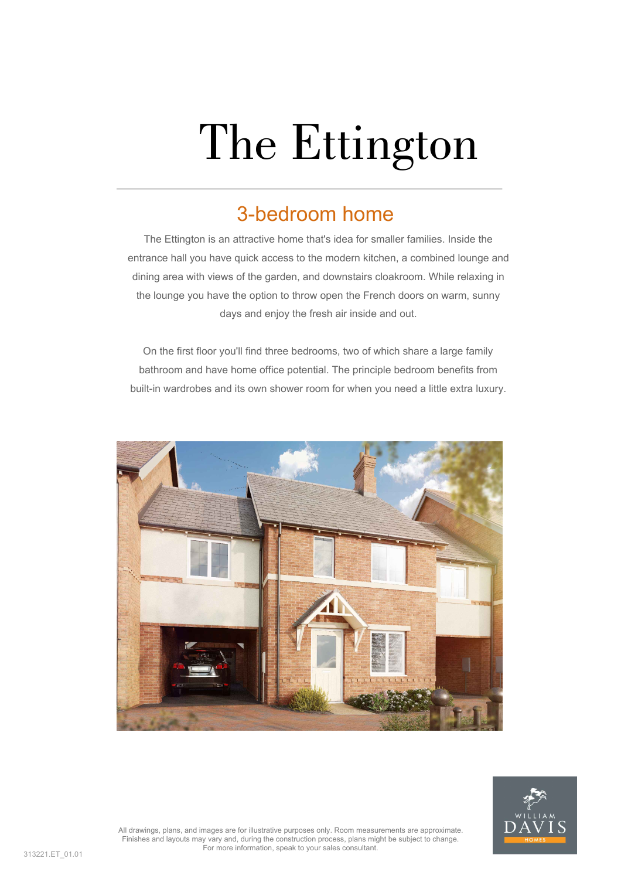# The Ettington

## 3-bedroom home

The Ettington is an attractive home that's idea for smaller families. Inside the entrance hall you have quick access to the modern kitchen, a combined lounge and dining area with views of the garden, and downstairs cloakroom. While relaxing in the lounge you have the option to throw open the French doors on warm, sunny days and enjoy the fresh air inside and out.

On the first floor you'll find three bedrooms, two of which share a large family bathroom and have home office potential. The principle bedroom benefits from built-in wardrobes and its own shower room for when you need a little extra luxury.





All drawings, plans, and images are for illustrative purposes only. Room measurements are approximate. Finishes and layouts may vary and, during the construction process, plans might be subject to change. For more information, speak to your sales consultant.